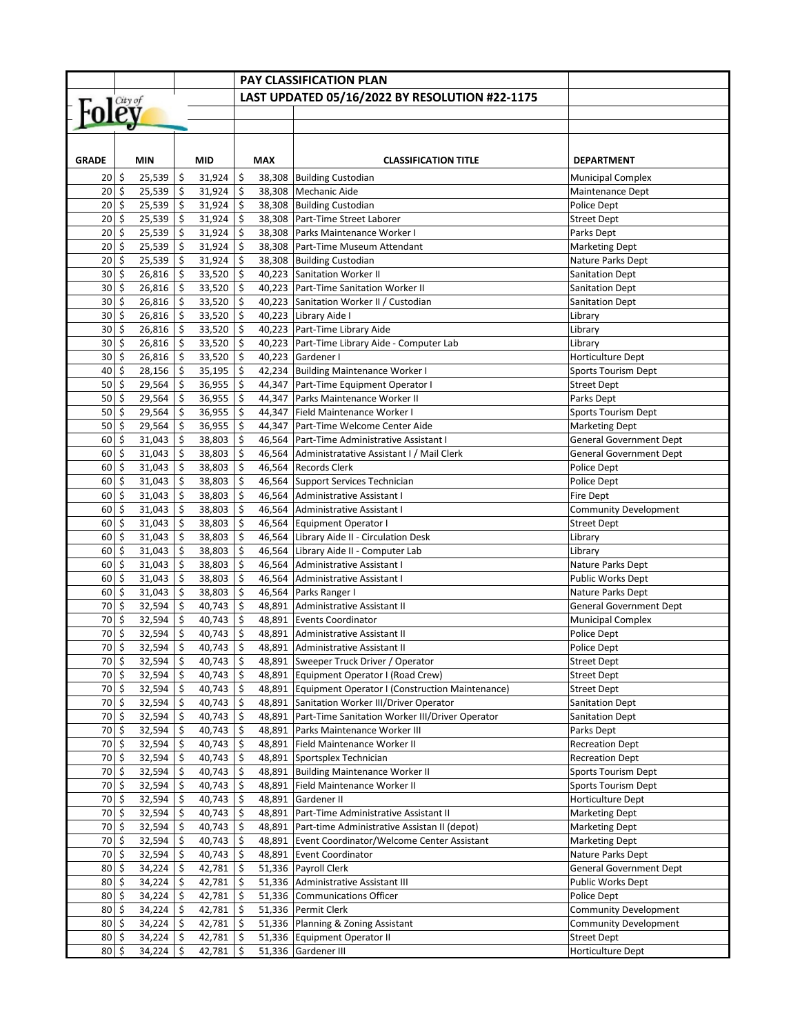|                              |                     |             |     |             |                     |            | <b>PAY CLASSIFICATION PLAN</b>                   |                                |
|------------------------------|---------------------|-------------|-----|-------------|---------------------|------------|--------------------------------------------------|--------------------------------|
|                              |                     |             |     |             |                     |            | LAST UPDATED 05/16/2022 BY RESOLUTION #22-1175   |                                |
| Foley                        |                     |             |     |             |                     |            |                                                  |                                |
|                              |                     |             |     |             |                     |            |                                                  |                                |
|                              |                     |             |     |             |                     |            |                                                  |                                |
|                              |                     |             |     |             |                     |            |                                                  |                                |
| <b>GRADE</b>                 |                     | <b>MIN</b>  |     | <b>MID</b>  |                     | <b>MAX</b> | <b>CLASSIFICATION TITLE</b>                      | <b>DEPARTMENT</b>              |
| 20                           | \$                  | 25,539      | \$  | 31,924      | \$                  | 38,308     | <b>Building Custodian</b>                        | <b>Municipal Complex</b>       |
| 20                           | \$                  | 25,539      | \$  | 31,924      | \$                  | 38,308     | Mechanic Aide                                    | Maintenance Dept               |
| 20                           | \$                  | 25,539      | \$  | 31,924      | \$                  | 38,308     | <b>Building Custodian</b>                        | Police Dept                    |
| 20                           | \$                  | 25,539      | \$  | 31,924      | \$                  | 38,308     | Part-Time Street Laborer                         | <b>Street Dept</b>             |
| 20                           | \$                  | 25,539      | \$  | 31,924      | \$                  |            | 38,308 Parks Maintenance Worker I                | Parks Dept                     |
| 20                           | \$                  | 25,539      | \$  | 31,924      | \$                  | 38,308     | Part-Time Museum Attendant                       | <b>Marketing Dept</b>          |
| 20                           | \$                  | 25,539      | \$  | 31,924      | \$                  |            | 38,308 Building Custodian                        | Nature Parks Dept              |
| 30                           | \$                  | 26,816      | \$  | 33,520      | \$                  | 40,223     | <b>Sanitation Worker II</b>                      | <b>Sanitation Dept</b>         |
| 30                           | \$                  | 26,816      | \$  | 33,520      | \$                  | 40,223     | Part-Time Sanitation Worker II                   | <b>Sanitation Dept</b>         |
| 30                           | \$                  | 26,816      | \$  | 33,520      | \$                  | 40,223     | Sanitation Worker II / Custodian                 | <b>Sanitation Dept</b>         |
| 30                           | \$                  | 26,816      | \$  | 33,520      | \$                  |            | 40,223 Library Aide I                            | Library                        |
| 30                           | \$                  | 26,816      | \$  | 33,520      | \$                  |            | 40,223 Part-Time Library Aide                    | Library                        |
| 30                           | \$                  | 26,816      | \$  | 33,520      | \$                  |            | 40,223 Part-Time Library Aide - Computer Lab     | Library                        |
| 30                           | \$                  | 26,816      | \$  | 33,520      | \$                  | 40,223     | Gardener I                                       | Horticulture Dept              |
| 40                           | \$                  | 28,156      | \$  | 35,195      | \$                  |            | 42,234 Building Maintenance Worker I             | <b>Sports Tourism Dept</b>     |
| 50                           | \$                  | 29,564      | \$  | 36,955      | \$                  |            | 44,347 Part-Time Equipment Operator I            | <b>Street Dept</b>             |
| 50                           | \$                  | 29,564      | \$  | 36,955      | \$                  | 44,347     | Parks Maintenance Worker II                      | Parks Dept                     |
| 50                           | \$                  | 29,564      | \$  | 36,955      | \$                  | 44,347     | Field Maintenance Worker I                       | <b>Sports Tourism Dept</b>     |
| 50                           | \$                  | 29,564      | \$  | 36,955      | \$                  |            | 44,347 Part-Time Welcome Center Aide             | <b>Marketing Dept</b>          |
| 60                           | \$                  | 31,043      | \$  | 38,803      | \$                  | 46,564     | Part-Time Administrative Assistant I             | <b>General Government Dept</b> |
| 60                           | \$                  | 31,043      | \$  | 38,803      | \$                  |            | 46,564 Administratative Assistant I / Mail Clerk | <b>General Government Dept</b> |
| 60                           | \$                  | 31,043      | \$  | 38,803      | \$                  | 46,564     | <b>Records Clerk</b>                             | Police Dept                    |
| 60                           | \$                  | 31,043      | \$  | 38,803      | \$                  | 46,564     | Support Services Technician                      | Police Dept                    |
| 60                           | \$                  | 31,043      | \$  | 38,803      | \$                  | 46,564     | <b>Administrative Assistant I</b>                | Fire Dept                      |
| 60                           | \$                  | 31,043      | \$  | 38,803      | \$                  |            | 46,564 Administrative Assistant I                | <b>Community Development</b>   |
| 60                           | \$                  | 31,043      | \$  | 38,803      | \$                  | 46,564     | <b>Equipment Operator I</b>                      | <b>Street Dept</b>             |
| 60                           | \$                  | 31,043      | \$  | 38,803      | \$                  | 46,564     | Library Aide II - Circulation Desk               | Library                        |
| 60                           | \$                  | 31,043      | \$  | 38,803      | \$                  | 46,564     | Library Aide II - Computer Lab                   | Library                        |
| 60                           | \$                  | 31,043      | \$  | 38,803      | \$                  | 46,564     | Administrative Assistant I                       | Nature Parks Dept              |
| 60                           | \$                  | 31,043      | \$  | 38,803      | \$                  | 46,564     | Administrative Assistant I                       | <b>Public Works Dept</b>       |
| 60                           | \$                  | 31,043      | \$  | 38,803      | \$                  |            | 46,564 Parks Ranger I                            | Nature Parks Dept              |
| 70                           | \$                  | 32,594      | \$  | 40,743      | \$                  | 48,891     | Administrative Assistant II                      | General Government Dept        |
| 70                           | \$                  | 32,594      | \$  | 40,743      | \$                  |            | 48,891 Events Coordinator                        | <b>Municipal Complex</b>       |
| 70                           | \$                  | 32,594      | \$  | 40,743      | \$                  | 48,891     | Administrative Assistant II                      | Police Dept                    |
| 70                           | \$                  | 32,594      | \$  | 40,743      | \$                  | 48,891     | Administrative Assistant II                      | Police Dept                    |
| 70   \$                      |                     | $32,594$ \$ |     | 40,743   \$ |                     |            | 48,891   Sweeper Truck Driver / Operator         | <b>Street Dept</b>             |
| 70                           | \$                  | 32,594      | \$  | 40,743      | $\ddot{\mathsf{S}}$ | 48,891     | Equipment Operator I (Road Crew)                 | <b>Street Dept</b>             |
| 70                           | -\$                 | 32,594      | \$  | 40,743      | \$                  | 48,891     | Equipment Operator I (Construction Maintenance)  | <b>Street Dept</b>             |
| 70                           | \$                  | 32,594      | \$  | 40,743      | \$                  | 48,891     | Sanitation Worker III/Driver Operator            | <b>Sanitation Dept</b>         |
| 70                           | \$                  | 32,594      | \$  | 40,743      | \$                  | 48,891     | Part-Time Sanitation Worker III/Driver Operator  | <b>Sanitation Dept</b>         |
| 70                           | \$                  | 32,594      | \$  | 40,743      | \$                  | 48,891     | Parks Maintenance Worker III                     | Parks Dept                     |
| 70                           | \$                  | 32,594      | \$  | 40,743      | \$                  | 48,891     | Field Maintenance Worker II                      | <b>Recreation Dept</b>         |
| 70                           | \$                  | 32,594      | \$  | 40,743      | \$                  | 48,891     | Sportsplex Technician                            | <b>Recreation Dept</b>         |
| 70                           | \$                  | 32,594      | \$. | 40,743      | \$                  | 48,891     | <b>Building Maintenance Worker II</b>            | <b>Sports Tourism Dept</b>     |
| 70                           | \$                  | 32,594      | \$  | 40,743      | \$                  | 48,891     | Field Maintenance Worker II                      | Sports Tourism Dept            |
| 70                           | \$                  | 32,594      | \$  | 40,743      | \$                  | 48,891     | Gardener II                                      | Horticulture Dept              |
| 70 \$                        |                     | 32,594      | \$  | 40,743      | \$                  | 48,891     | Part-Time Administrative Assistant II            | <b>Marketing Dept</b>          |
| 70                           | \$                  | 32,594      | \$  | 40,743      | \$                  | 48,891     | Part-time Administrative Assistan II (depot)     | <b>Marketing Dept</b>          |
| 70                           | \$                  | 32,594      | \$  | 40,743      | \$                  | 48,891     | Event Coordinator/Welcome Center Assistant       | <b>Marketing Dept</b>          |
| 70                           | \$                  | 32,594      | \$  | 40,743      | \$                  | 48,891     | <b>Event Coordinator</b>                         | Nature Parks Dept              |
| 80                           | $\ddot{\mathsf{S}}$ | 34,224      | \$  | 42,781      | \$                  |            | 51,336 Payroll Clerk                             | <b>General Government Dept</b> |
| 80                           | \$                  | 34,224      | \$  | 42,781      | \$                  | 51,336     | Administrative Assistant III                     | <b>Public Works Dept</b>       |
| $80\overline{\smash{\circ}}$ |                     | 34,224      | \$  | 42,781      | \$                  |            | 51,336 Communications Officer                    | Police Dept                    |
| 80                           | \$                  | 34,224      | \$  | 42,781      | \$                  |            | 51,336 Permit Clerk                              | <b>Community Development</b>   |
| $80 \div$                    |                     | 34,224      | \$  | 42,781      | \$                  |            | 51,336 Planning & Zoning Assistant               | <b>Community Development</b>   |
| 80   \$                      |                     | 34,224      | \$  | 42,781      | \$                  |            | 51,336 Equipment Operator II                     | <b>Street Dept</b>             |
| $80 $ \$                     |                     | 34,224      | \$  | 42,781      | \$                  |            | 51,336 Gardener III                              | Horticulture Dept              |
|                              |                     |             |     |             |                     |            |                                                  |                                |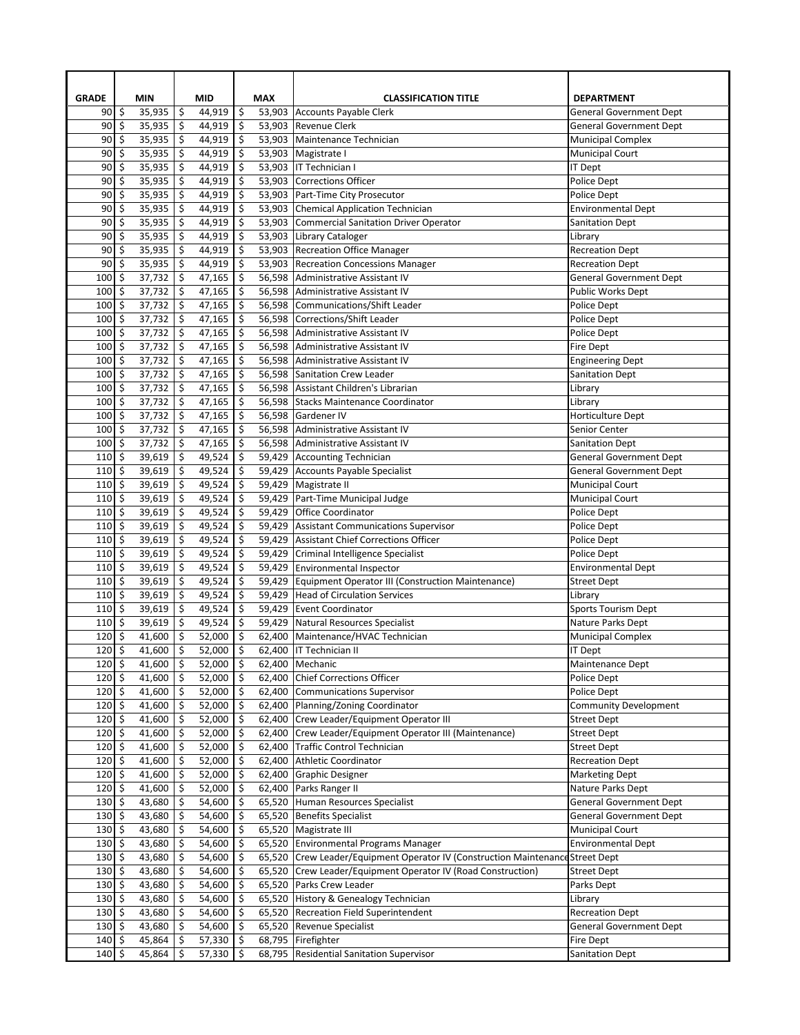| <b>GRADE</b>                      | <b>MIN</b>             |          | <b>MID</b>       |                           | <b>MAX</b>       | <b>CLASSIFICATION TITLE</b>                                                                                                      | <b>DEPARTMENT</b>                                   |
|-----------------------------------|------------------------|----------|------------------|---------------------------|------------------|----------------------------------------------------------------------------------------------------------------------------------|-----------------------------------------------------|
| 90                                | \$<br>35,935           | \$       | 44,919           | \$                        |                  | 53,903 Accounts Payable Clerk                                                                                                    | <b>General Government Dept</b>                      |
| 90                                | \$<br>35,935           | \$       | 44,919           | \$                        | 53,903           | <b>Revenue Clerk</b>                                                                                                             | <b>General Government Dept</b>                      |
| 90                                | \$<br>35,935           | \$       | 44,919           | \$                        | 53,903           | Maintenance Technician                                                                                                           | <b>Municipal Complex</b>                            |
| 90                                | \$<br>35,935           | \$       | 44,919           | \$                        | 53,903           | Magistrate I                                                                                                                     | <b>Municipal Court</b>                              |
| 90                                | \$<br>35,935           | \$       | 44,919           | \$                        | 53,903           | <b>IT Technician I</b>                                                                                                           | <b>IT Dept</b>                                      |
| 90                                | \$<br>35,935           | \$       | 44,919           | \$                        | 53,903           | Corrections Officer                                                                                                              | Police Dept                                         |
| 90                                | \$<br>35,935           | \$       | 44,919           | \$                        | 53,903           | Part-Time City Prosecutor                                                                                                        | Police Dept                                         |
| 90                                | \$<br>35,935           | \$       | 44,919           | \$                        | 53,903           | Chemical Application Technician                                                                                                  | <b>Environmental Dept</b>                           |
| 90                                | \$<br>35,935           | \$       | 44,919           | \$                        | 53,903           | Commercial Sanitation Driver Operator                                                                                            | <b>Sanitation Dept</b>                              |
| 90                                | \$<br>35,935           | \$       | 44,919           | \$                        | 53,903           | Library Cataloger                                                                                                                | Library                                             |
| 90                                | \$<br>35,935           | \$       | 44,919           | \$                        | 53,903           | <b>Recreation Office Manager</b>                                                                                                 | <b>Recreation Dept</b>                              |
| 90                                | \$<br>35,935           | \$       | 44,919           | \$                        | 53,903           | <b>Recreation Concessions Manager</b>                                                                                            | <b>Recreation Dept</b>                              |
| 100                               | \$<br>37,732           | \$       | 47,165           | \$                        | 56,598           | Administrative Assistant IV                                                                                                      | <b>General Government Dept</b>                      |
| 100                               | \$<br>37,732           | \$       | 47,165           | \$                        | 56,598           | Administrative Assistant IV                                                                                                      | <b>Public Works Dept</b>                            |
| 100                               | \$<br>37,732           | \$       | 47,165           | \$                        |                  | 56,598 Communications/Shift Leader                                                                                               | Police Dept                                         |
| 100                               | \$<br>37,732           | \$       | 47,165           | \$                        | 56,598           | Corrections/Shift Leader                                                                                                         | Police Dept                                         |
| 100                               | \$<br>37,732           | \$       | 47,165           | \$                        | 56,598           | Administrative Assistant IV                                                                                                      | Police Dept                                         |
| 100                               | \$<br>37,732           | \$       | 47,165           | \$                        | 56,598           | Administrative Assistant IV                                                                                                      | Fire Dept                                           |
| 100                               | \$<br>37,732           | \$       | 47,165           | \$                        | 56,598           | Administrative Assistant IV                                                                                                      | <b>Engineering Dept</b>                             |
| 100                               | \$<br>37,732           | \$       | 47,165           | \$                        | 56,598           | Sanitation Crew Leader                                                                                                           | <b>Sanitation Dept</b>                              |
| 100                               | \$<br>37,732           | \$       | 47,165           | \$                        | 56,598           | Assistant Children's Librarian                                                                                                   | Library                                             |
| 100                               | \$<br>37,732           | \$       | 47,165           | \$                        | 56,598           | Stacks Maintenance Coordinator                                                                                                   | Library                                             |
| 100                               | \$<br>37,732           | \$       | 47,165           | \$                        | 56,598           | Gardener IV                                                                                                                      | Horticulture Dept                                   |
| 100                               | \$<br>37,732           | \$       | 47,165           | \$                        | 56,598           | Administrative Assistant IV                                                                                                      | Senior Center                                       |
| 100                               | \$<br>37,732           | \$       | 47,165           | \$                        | 56,598           | Administrative Assistant IV                                                                                                      | <b>Sanitation Dept</b>                              |
| 110                               | \$<br>39,619           | \$       | 49,524           | \$                        | 59,429           | Accounting Technician                                                                                                            | <b>General Government Dept</b>                      |
| 110                               | \$<br>39,619           | \$       | 49,524           | \$                        | 59,429           | Accounts Payable Specialist                                                                                                      | <b>General Government Dept</b>                      |
| 110                               | \$<br>39,619           | \$       | 49,524           | \$                        | 59,429           | Magistrate II                                                                                                                    | <b>Municipal Court</b>                              |
| 110                               | \$<br>39,619           | \$       | 49,524           | \$                        | 59,429           | Part-Time Municipal Judge                                                                                                        | <b>Municipal Court</b>                              |
| 110                               | \$<br>39,619           | \$       | 49,524           | \$                        | 59,429           | <b>Office Coordinator</b>                                                                                                        | Police Dept                                         |
| 110                               | \$<br>39,619           | \$       | 49,524           | \$                        | 59,429           | <b>Assistant Communications Supervisor</b>                                                                                       | Police Dept                                         |
| 110                               | \$<br>39,619           | \$       | 49,524           | \$                        | 59,429           | <b>Assistant Chief Corrections Officer</b>                                                                                       | Police Dept                                         |
| 110                               | \$<br>39,619           | \$       | 49,524           | \$                        | 59,429           | Criminal Intelligence Specialist                                                                                                 | Police Dept                                         |
| 110                               | \$<br>39,619<br>39,619 | \$<br>\$ | 49,524           | \$                        | 59,429           | Environmental Inspector<br>Equipment Operator III (Construction Maintenance)                                                     | <b>Environmental Dept</b>                           |
| 110                               | \$                     |          | 49,524           | \$                        | 59,429           |                                                                                                                                  | <b>Street Dept</b>                                  |
| 110                               | \$<br>39,619           | \$       | 49,524           | \$                        | 59,429           | <b>Head of Circulation Services</b>                                                                                              | Library                                             |
| 110                               | \$<br>39,619           | \$       | 49,524           | \$                        | 59,429           | <b>Event Coordinator</b>                                                                                                         | <b>Sports Tourism Dept</b>                          |
| 110                               | \$<br>39,619           | \$       | 49,524           | \$                        | 59,429           | Natural Resources Specialist                                                                                                     | Nature Parks Dept                                   |
| 120                               | \$<br>41,600           | \$       | 52,000           | \$                        | 62,400           | Maintenance/HVAC Technician                                                                                                      | <b>Municipal Complex</b>                            |
| 120                               | \$<br>41,600           | \$       | 52,000           | \$                        | 62,400           | <b>IT Technician II</b>                                                                                                          | <b>IT Dept</b>                                      |
| $120 \mid 5$                      | 41,600                 | Ş        | 52,000           | \$                        |                  | 62,400   Mechanic                                                                                                                | Maintenance Dept                                    |
| $120 \mid 5$                      | 41,600                 | \$       | 52,000           | \$                        | 62,400           | <b>Chief Corrections Officer</b>                                                                                                 | Police Dept                                         |
| 120<br>$120 \mid 5$               | \$<br>41,600           | \$<br>\$ | 52,000           | \$<br>$\ddot{\mathsf{S}}$ | 62,400           | <b>Communications Supervisor</b><br>Planning/Zoning Coordinator                                                                  | Police Dept                                         |
|                                   | 41,600                 |          | 52,000           |                           | 62,400           |                                                                                                                                  | <b>Community Development</b>                        |
| $120 \le$<br>$120 \mid 5$         | 41,600                 | \$       | 52,000           | \$                        | 62,400           | Crew Leader/Equipment Operator III                                                                                               | <b>Street Dept</b>                                  |
|                                   | 41,600                 | \$       | 52,000           | \$                        | 62,400           | Crew Leader/Equipment Operator III (Maintenance)<br>Traffic Control Technician                                                   | <b>Street Dept</b>                                  |
| $120 \le$<br>$120 \mid 5$         | 41,600                 | \$       | 52,000           | \$                        | 62,400           | Athletic Coordinator                                                                                                             | <b>Street Dept</b>                                  |
| $120 \mid 5$                      | 41,600                 | \$<br>\$ | 52,000           | \$<br>\$                  | 62,400           |                                                                                                                                  | <b>Recreation Dept</b>                              |
| $120 \mid 5$                      | 41,600                 |          | 52,000           |                           | 62,400           | Graphic Designer                                                                                                                 | <b>Marketing Dept</b>                               |
| $130 \mid 5$                      | 41,600<br>43,680       | \$<br>\$ | 52,000<br>54,600 | \$<br>\$                  | 62,400<br>65,520 | Parks Ranger II<br>Human Resources Specialist                                                                                    | Nature Parks Dept<br><b>General Government Dept</b> |
| $130 \mid 5$                      | 43,680                 | \$       | 54,600           | \$                        | 65,520           | <b>Benefits Specialist</b>                                                                                                       | <b>General Government Dept</b>                      |
| $130 \mid 5$                      | 43,680                 | \$       | 54,600           | \$                        | 65,520           | Magistrate III                                                                                                                   | <b>Municipal Court</b>                              |
| $130 \mid 5$                      | 43,680                 | \$       | 54,600           | \$                        | 65,520           | <b>Environmental Programs Manager</b>                                                                                            | <b>Environmental Dept</b>                           |
|                                   |                        |          |                  | \$                        |                  |                                                                                                                                  |                                                     |
| $130 \,$ \$                       | \$<br>43,680<br>43,680 | \$<br>\$ | 54,600<br>54,600 |                           | 65,520<br>65,520 | Crew Leader/Equipment Operator IV (Construction Maintenance Street Dept<br>Crew Leader/Equipment Operator IV (Road Construction) |                                                     |
| 130<br>$130 \mid 5$               | 43,680                 | \$       | 54,600           | \$<br>\$                  | 65,520           | Parks Crew Leader                                                                                                                | <b>Street Dept</b>                                  |
| $130 \mid 5$                      | 43,680                 |          | 54,600           | \$                        | 65,520           | History & Genealogy Technician                                                                                                   | Parks Dept                                          |
|                                   |                        | \$       |                  |                           |                  |                                                                                                                                  | Library                                             |
| $130 \,$ \$                       | 43,680                 | \$       | 54,600           | \$                        | 65,520           | Recreation Field Superintendent                                                                                                  | <b>Recreation Dept</b>                              |
| 130                               | \$<br>43,680           | \$       | 54,600           | \$                        | 65,520           | Revenue Specialist                                                                                                               | General Government Dept                             |
| $140 \mid 5$<br>$140 \frac{1}{5}$ | 45,864                 | \$<br>\$ | 57,330           | \$<br>\$                  | 68,795           | Firefighter                                                                                                                      | Fire Dept                                           |
|                                   | 45,864                 |          | 57,330           |                           | 68,795           | <b>Residential Sanitation Supervisor</b>                                                                                         | <b>Sanitation Dept</b>                              |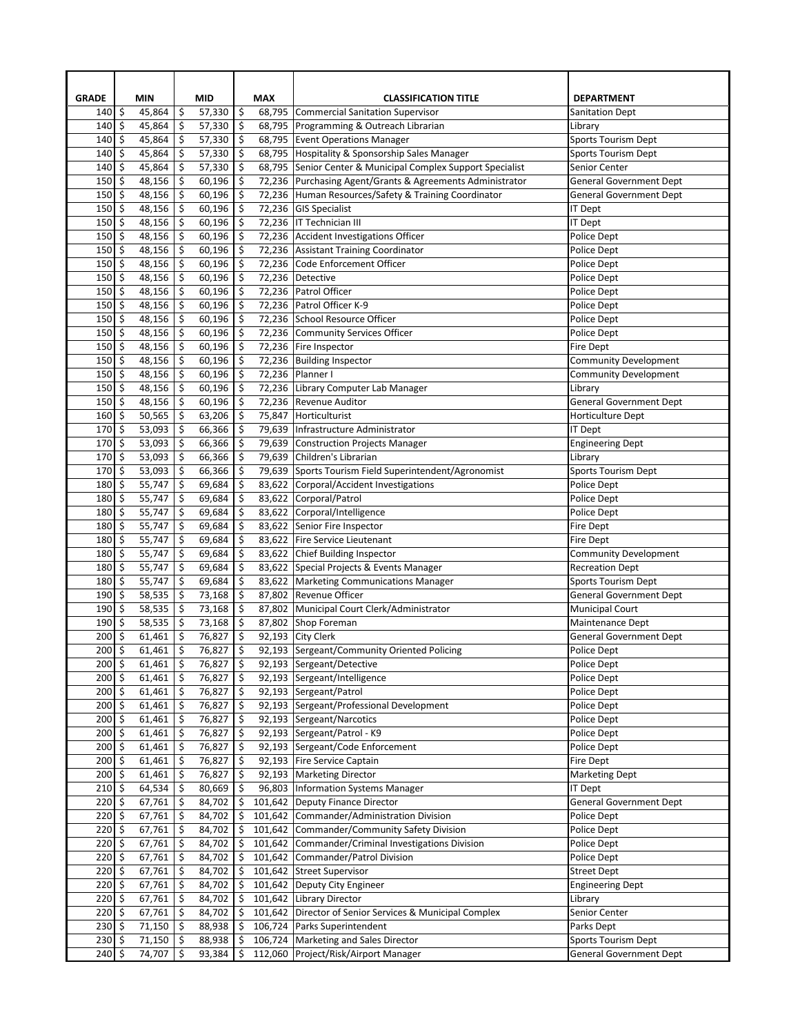| <b>GRADE</b>           |                    | <b>MIN</b>       |          | <b>MID</b>       |          | <b>MAX</b>       | <b>CLASSIFICATION TITLE</b>                           | <b>DEPARTMENT</b>                     |
|------------------------|--------------------|------------------|----------|------------------|----------|------------------|-------------------------------------------------------|---------------------------------------|
| 140                    | \$                 | 45,864           | \$       | 57,330           | \$       | 68,795           | Commercial Sanitation Supervisor                      | <b>Sanitation Dept</b>                |
| 140                    | $\mathsf{\hat{S}}$ | 45,864           | \$       | 57,330           | \$       | 68,795           | Programming & Outreach Librarian                      | Library                               |
| 140                    | \$                 | 45,864           | \$       | 57,330           | \$       | 68,795           | <b>Event Operations Manager</b>                       | <b>Sports Tourism Dept</b>            |
| 140                    | \$                 | 45,864           | \$       | 57,330           | \$       | 68,795           | Hospitality & Sponsorship Sales Manager               | <b>Sports Tourism Dept</b>            |
| 140                    | \$                 | 45,864           | \$       | 57,330           | \$       | 68,795           | Senior Center & Municipal Complex Support Specialist  | Senior Center                         |
| 150                    | \$                 | 48,156           | \$       | 60,196           | \$       | 72,236           | Purchasing Agent/Grants & Agreements Administrator    | <b>General Government Dept</b>        |
| 150                    | \$                 | 48,156           | \$       | 60,196           | \$       | 72,236           | Human Resources/Safety & Training Coordinator         | <b>General Government Dept</b>        |
| 150                    | \$                 | 48,156           | \$       | 60,196           | \$       | 72,236           | <b>GIS Specialist</b>                                 | IT Dept                               |
| 150                    | \$                 | 48,156           | \$       | 60,196           | \$       |                  | 72,236   IT Technician III                            | IT Dept                               |
| 150                    | \$                 | 48,156           | \$       | 60,196           | \$       | 72,236           | Accident Investigations Officer                       | Police Dept                           |
| 150                    | \$                 | 48,156           | \$       | 60,196           | \$       | 72,236           | <b>Assistant Training Coordinator</b>                 | <b>Police Dept</b>                    |
| 150                    | \$                 | 48,156           | \$       | 60,196           | \$       | 72,236           | Code Enforcement Officer                              | Police Dept                           |
| 150                    | \$                 | 48,156           | \$       | 60,196           | \$       | 72,236           | Detective                                             | Police Dept                           |
| 150                    | \$                 | 48,156           | \$       | 60,196           | \$       | 72,236           | Patrol Officer                                        | Police Dept                           |
| 150                    | \$                 | 48,156           | \$       | 60,196           | \$       | 72,236           | Patrol Officer K-9                                    | Police Dept                           |
| 150                    | \$                 | 48,156           | \$       | 60,196           | \$       | 72,236           | School Resource Officer                               | Police Dept                           |
| 150                    | \$                 | 48,156           | \$       | 60,196           | \$       | 72,236           | Community Services Officer                            | Police Dept                           |
| 150                    | \$                 | 48,156           | \$       | 60,196           | \$       | 72,236           | Fire Inspector                                        | Fire Dept                             |
| 150                    | \$                 | 48,156           | \$       | 60,196           | \$       | 72,236           | <b>Building Inspector</b>                             | <b>Community Development</b>          |
| 150                    | \$                 | 48,156           | \$       | 60,196           | \$       | 72,236           | Planner I                                             | <b>Community Development</b>          |
| 150                    | \$                 | 48,156           | \$       | 60,196           | \$       | 72,236           | Library Computer Lab Manager<br>Revenue Auditor       | Library                               |
| 150                    | \$                 | 48,156<br>50,565 | \$       | 60,196<br>63,206 | \$       | 72,236<br>75,847 | Horticulturist                                        | <b>General Government Dept</b>        |
| 160                    | \$                 |                  | \$       |                  | \$       |                  |                                                       | Horticulture Dept                     |
| 170                    | \$                 | 53,093           | \$       | 66,366           | \$       | 79,639           | Infrastructure Administrator                          | IT Dept                               |
| 170                    | \$<br>\$           | 53,093           | \$       | 66,366           | \$<br>\$ | 79,639           | Construction Projects Manager<br>Children's Librarian | <b>Engineering Dept</b>               |
| 170<br>170             | \$                 | 53,093<br>53,093 | \$<br>\$ | 66,366<br>66,366 | \$       | 79,639<br>79,639 | Sports Tourism Field Superintendent/Agronomist        | Library<br><b>Sports Tourism Dept</b> |
| 180                    | \$                 | 55,747           | \$       | 69,684           | \$       | 83,622           | Corporal/Accident Investigations                      | Police Dept                           |
| 180                    | \$                 | 55,747           | \$       | 69,684           | \$       | 83,622           | Corporal/Patrol                                       | Police Dept                           |
| 180                    | \$                 | 55,747           | \$       | 69,684           | \$       | 83,622           | Corporal/Intelligence                                 | Police Dept                           |
| 180                    | \$                 | 55,747           | \$       | 69,684           | \$       | 83,622           | Senior Fire Inspector                                 | Fire Dept                             |
| 180                    | \$                 | 55,747           | \$       | 69,684           | \$       | 83,622           | Fire Service Lieutenant                               | Fire Dept                             |
| 180                    | \$                 | 55,747           | \$       | 69,684           | \$       | 83,622           | Chief Building Inspector                              | <b>Community Development</b>          |
| 180                    | \$                 | 55,747           | \$       | 69,684           | \$       |                  | 83,622 Special Projects & Events Manager              | <b>Recreation Dept</b>                |
| 180                    | \$                 | 55,747           | \$       | 69,684           | \$       |                  | 83,622 Marketing Communications Manager               | <b>Sports Tourism Dept</b>            |
| 190                    | \$                 | 58,535           | \$       | 73,168           | \$       | 87,802           | <b>Revenue Officer</b>                                | <b>General Government Dept</b>        |
| 190                    | \$                 | 58,535           | \$       | 73,168           | \$       |                  | 87,802 Municipal Court Clerk/Administrator            | <b>Municipal Court</b>                |
| 190                    | \$                 | 58,535           | \$       | 73,168           | \$       |                  | 87,802 Shop Foreman                                   | Maintenance Dept                      |
| 200                    | \$                 | 61,461           | \$       | 76,827           | \$       | 92,193           | City Clerk                                            | <b>General Government Dept</b>        |
| 200                    | \$                 | 61,461           | \$       | 76,827           | \$       |                  | 92,193 Sergeant/Community Oriented Policing           | Police Dept                           |
| $200 \mid \frac{1}{2}$ |                    | 61,461           | \$       | 76,827           | \$       |                  | 92,193 Sergeant/Detective                             | Police Dept                           |
| $200 \mid 5$           |                    | 61,461           | \$       | 76,827           | \$       |                  | 92,193 Sergeant/Intelligence                          | Police Dept                           |
| $200 \mid \frac{1}{2}$ |                    | 61,461           | \$       | 76,827           | \$       |                  | 92,193 Sergeant/Patrol                                | Police Dept                           |
| $200 \mid 5$           |                    | 61,461           | \$       | 76,827           | \$       |                  | 92,193 Sergeant/Professional Development              | Police Dept                           |
| $200 \le$              |                    | 61,461           | \$       | 76,827           | \$       | 92,193           | Sergeant/Narcotics                                    | Police Dept                           |
| $200 \mid 5$           |                    | 61,461           | \$       | 76,827           | \$       |                  | 92,193 Sergeant/Patrol - K9                           | Police Dept                           |
| $200 \,$ \$            |                    | 61,461           | \$       | 76,827           | \$       | 92,193           | Sergeant/Code Enforcement                             | Police Dept                           |
| $200 \mid 5$           |                    | 61,461           | \$       | 76,827           | \$       | 92,193           | Fire Service Captain                                  | Fire Dept                             |
| $200 \,$ \$            |                    | 61,461           | \$       | 76,827           | \$       | 92,193           | <b>Marketing Director</b>                             | Marketing Dept                        |
| $210 \mid 5$           |                    | 64,534           | \$       | 80,669           | \$       | 96,803           | <b>Information Systems Manager</b>                    | <b>IT Dept</b>                        |
| $220 \mid 5$           |                    | 67,761           | \$       | 84,702           | \$       | 101,642          | Deputy Finance Director                               | <b>General Government Dept</b>        |
| $220 \mid 5$           |                    | 67,761           | \$       | 84,702           | \$       | 101,642          | Commander/Administration Division                     | Police Dept                           |
| $220$ \$               |                    | 67,761           | \$       | 84,702           | \$       | 101,642          | Commander/Community Safety Division                   | Police Dept                           |
| $220 \mid 5$           |                    | 67,761           | \$       | 84,702           | \$       | 101,642          | Commander/Criminal Investigations Division            | Police Dept                           |
| 220                    | \$                 | 67,761           | \$       | 84,702           | \$       | 101,642          | Commander/Patrol Division                             | Police Dept                           |
| 220                    | \$                 | 67,761           | \$       | 84,702           | \$       | 101,642          | Street Supervisor                                     | Street Dept                           |
| $220 \mid 5$           |                    | 67,761           | \$       | 84,702           | \$       | 101,642          | Deputy City Engineer                                  | <b>Engineering Dept</b>               |
| $220 \le$              |                    | 67,761           | \$       | 84,702           | \$       | 101,642          | Library Director                                      | Library                               |
| $220 \mid 5$           |                    | 67,761           | \$       | 84,702           | \$       | 101,642          | Director of Senior Services & Municipal Complex       | Senior Center                         |
| 230                    | \$                 | 71,150           | \$       | 88,938           | \$       | 106,724          | Parks Superintendent                                  | Parks Dept                            |
| $230 \mid 5$           |                    | 71,150           | \$       | 88,938           | \$       | 106,724          | Marketing and Sales Director                          | <b>Sports Tourism Dept</b>            |
| $240$ \$               |                    | 74,707           | \$       | 93,384           | \$       |                  | 112,060 Project/Risk/Airport Manager                  | <b>General Government Dept</b>        |
|                        |                    |                  |          |                  |          |                  |                                                       |                                       |